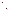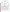## **THE ENVIRONMENTAL TECHNOLOGY VERIFICATION**







# **ETV Joint Verification Statement**

|                     | TECHNOLOGY TYPE: PORTABLE CYANIDE ANALYZER                                                    |             |                                         |  |
|---------------------|-----------------------------------------------------------------------------------------------|-------------|-----------------------------------------|--|
| <b>APPLICATION:</b> | DETECTING CYANIDE IN WATER                                                                    |             |                                         |  |
|                     | <b>TECHNOLOGY NAME: VVR V-1000 Multi-Analyte Photometer with the</b><br>V-3803 Cyanide Module |             |                                         |  |
| <b>COMPANY:</b>     | <b>CHEMetrics</b> , Inc.                                                                      |             |                                         |  |
| <b>ADDRESS:</b>     | 4295 Catlett Rd.<br>Calverton, VA 20138                                                       | <b>FAX:</b> | PHONE: 1-800-356-3072<br>1-540-788-4856 |  |
| <b>WEB SITE:</b>    | http://www.chemetrics.com                                                                     |             |                                         |  |
| $E\text{-}MAIL:$    | technical@chemetrics.com                                                                      |             |                                         |  |

The U.S. Environmental Protection Agency (EPA) supports the Environmental Technology Verification (ETV) Program to facilitate the deployment of innovative or improved environmental technologies through performance verification and dissemination of information. The goal of the ETV Program is to further environmental protection by substantially accelerating the acceptance and use of improved and cost-effective technologies. ETV seeks to achieve this goal by providing high-quality, peer-reviewed data on technology performance to those involved in the design, distribution, financing, permitting, purchase, and use of environmental technologies.

ETV works in partnership with recognized standards and testing organizations, with stakeholder groups (consisting of buyers, vendor organizations, and permitters), and with individual technology developers. The program evaluates the performance of innovative technologies by developing test plans that are responsive to the needs of stakeholders, conducting field or laboratory tests (as appropriate), collecting and analyzing data, and preparing peer-reviewed reports. All evaluations are conducted in accordance with rigorous quality assurance (QA) protocols to ensure that data of known and adequate quality are generated and that the results are defensible.

The Advanced Monitoring Systems (AMS) Center, one of seven technology areas under ETV, is operated by Battelle in cooperation with EPA's National Exposure Research Laboratory. The AMS Center has recently evaluated the performance of cyanide analyzers used to detect cyanide in water. This verification statement provides a summary of the test results for the CHEMetrics VVR V-1000 multi-analyte photometer with the V-3803 cyanide module (which is referred to as the CHEMetrics VVR in this verification statement).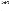## **VERIFICATION TEST DESCRIPTION**

The verification was based on comparing the cyanide concentrations of water samples determined by the CHEMetrics VVR with cyanide concentrations determined by a laboratory-based reference method (EPA Method 335.1, *Cyanides Amenable to Chlorination*). The CHEMetrics VVR V-1000 photometer was always used in conjunction with the V-3803 cyanide module. Two CHEMetrics VVRs were tested independently between January 13 and February 4, 2003; and the results were compared to assess inter-unit reproducibility. Samples used in the verification test included quality control samples, performance test (PT) samples, lethal/near-lethal concentration samples, drinking water samples, and surface water samples. The results from the CHEMetrics VVR were compared with the reference method to quantitatively assess accuracy and linearity. Multiple aliquots of each test sample were analyzed separately to assess the precision of both the CHEMetrics VVR and the reference method. To determine the detection limit, a solution with a concentration of 0.200 milligram per liter (mg/L) was used. Seven non-consecutive replicate analyses of this solution were made to obtain precision data with which to determine the method detection limit (MDL). The CHEMetrics VVR was tested by a technical and a non-technical operator to assess operator bias. Sample throughput was estimated based on the time required to analyze a sample. Ease of use was based on documented observations by the operators and the Battelle Verification Test Coordinator. The CHEMetrics VVR was used in a field environment as well as in a laboratory setting to assess the impact of field conditions on performance.

QA oversight of verification testing was provided by Battelle. Battelle QA staff conducted a technical systems audit, a performance evaluation audit, and a data quality audit of 10% of the test data.

### **TECHNOLOGY DESCRIPTION**

The following description of the CHEMetrics VVR was provided by the vendor and does not represent verified information.

The CHEMetrics VVR is a portable multi-analyte direct reading photometer. It uses CHEMetrics self-filling reagent Vacu-vial® ampoules. The cyanide Vacu-vial® test method employs the isonicotinic-barbituric acid colorimetric chemistry. The CHEMetrics VVR uses optical interference filters and a photodiode detector. Test results are displayed in concentration units of mg/L. Vacu-vials® are packaged in individual V-3803 analyte modules, which contain 30 ampoules, two accessory reagent solutions, a 25.0-milliliter (mL) sample cup and instructions. A storage case, dedicated filter, and a coded sealed water blank ampoule are included. Additionally, a test tube is provided for photometer zeroing in situations where samples have background color. To measure cyanide with the CHEMetrics VVR, a 10.0-mL sample is measured in the sample cup, two reagent solutions are added to the sample, the sample is stirred with the tip of the ampoule, and then the tip of the Vacu-vial® is snapped, allowing the sample to be drawn into the ampoule. If any cyanide is present in the water sample, it will react with the chlorine reagent solution to form cyanogen chloride, which in turn reacts with the reagent in the ampoule to form a blue complex in direct proportion to the cyanide concentration. The ampoules are read in the CHEMetrics VVR after a 15-minute color development time. Results are displayed in concentration units of mg/L. The CHEMetrics VVR operates on four AA batteries, has dimensions of 10 inches by 2 inches by 3 inches, and weighs 16 ounces. The list prices are \$612.90 for the photometer, \$54.10 for the cyanide module, and \$20.10 for the Vacu-vial® refill (which contains 30 ampoules). Accessory solution replenishment packs are available (six bottles/pack).

### **VERIFICATION OF PERFORMANCE**

**Accuracy:** Biases for the CHEMetrics VVR ranged from 3 to 24% for the PT samples with concentrations ranging from 0.030 to 0.800 mg/L; 4 to 17% for the surface water samples; 7 to 63% for the drinking water samples from around the country; and 42 to 100% for the Columbus, OH, drinking water samples. Since the latter three types of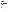water samples contained no detectable cyanide, they were fortified with 0.200 mg/L of cyanide to test the performance of the CHEMetrics VVR in water matrices.

**Precision:** The relative standard deviation ranged from 0 to 13% for the PT samples; 2 to 5% for the surface water samples; 0 to 27% for the drinking water samples from around the country; and 5 to 13% for the Columbus, OH, drinking water samples analyzed at the indoor field site and at the laboratory. The calculation of precision for all the drinking water samples analyzed outdoors and the Columbus, OH, well water samples analyzed at the laboratory was not appropriate because the results were below the MDL of the analyzer.

**Linearity:** The non-technical operator's results from the CHEMetrics VVR for the PT samples (0.030 to 0.400 mg/L) plotted against the concentrations of the same samples as determined by the reference method gives the following regression equation:

- y (non-technical operator results in mg/L)=0.823 ( $\pm$  0.030) x (reference result in mg/L)
- $+0.005$  ( $\pm 0.007$ ) mg/L with r<sup>2</sup>=0.991 and N=33.

The data for the technical operator gives the following regression equation:

- y (technical operator results in mg/L)=0.863 ( $\pm$  0.023) x (reference result in mg/L)
- $+0.007 \pm 0.005$ ) mg/L with r<sup>2</sup>=0.995 and N=33.

where the values in parentheses represent the 95% confidence interval of the slope and intercept. Only the technical operator's intercept is significantly different from zero, and the  $r^2$  values are both above 0.990. The linearity of the CHEMetrics VVR was not dependent on which operator was performing the analyses. The slope of the linear regression was significantly less than unity in both instances. This deviation from unity indicates a low bias in the results generated by the CHEMetrics VVR compared with the results produced by the reference method.

**Method Detection Limit:** The MDL was determined to be 0.034 and 0.031 mg/L for the CHEMetrics VVR when used by the non-technical operator and approximately 0.017 and 0.011 mg/L for the CHEMetrics VVR when used by the technical operator.

**Inter-Unit Reproducibility:** A linear regression of the data to determine inter-unit reproducibility gives the following regression equation:

- y (Unit #1 result in mg/L)=0.998 ( $\pm$  0.015) x (Unit #2 result in mg/L)
- $+ 0.0001$  ( $\pm 0.002$ ) mg/L with r<sup>2</sup>=0.991 and N=128.

where the values in parentheses represent the 95% confidence interval of the slope and intercept. The slope is not significantly different from unity, and the intercept is not significantly different from zero. These data indicate that the two CHEMetrics VVRs functioned very similarly to one another.

**Lethal/Near-Lethal Dose Response:** When samples at 50.0-, 100-, and 250-mg/L concentrations (close to what may be lethal if a volume the size of a typical glass of water was ingested) were prepared and analyzed by the CHEMetrics VVR, the color of the sample changed within five seconds to brilliant purple and, after approximately 35 more seconds, to blood red. The change was much more rapid than for any of the PT samples. The PT samples took about 30 seconds to produce a small change in the color of the sample and took the full 15-minute reaction time to reach its analysis color of clear, light purple. When these samples with lethal/near-lethal concentrations were inserted into the CHEMetrics VVR after the full reaction time, the digital readout read "over range." Even without using the CHEMetrics VVR, the reagents and Vacu-vials® would be useful for a first responder seeking to find out whether a toxic level of cyanide is present in a drinking water sample. The presence of such concentrations could be confirmed within minutes by visual observation of the color development process.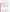**Operator Bias:** A linear regression of the data for operator bias gives the following regression equation:

y (non-tech result in mg/L)=0.911 ( $\pm$  0.053) x (tech result in mg/L) + 0.016  $(\pm 0.007)$  mg/L with r<sup>2</sup>=0.902 and N=128.

where the values in parentheses represent the 95% confidence interval of the slope and intercept. The slope of this regression is less than 10% different from unity, indicating a slight difference in the results produced by the operators.

**Field Portability:** From an operational standpoint, the CHEMetrics VVR was easily transported to the field setting, and the samples were analyzed in the same fashion as they were in the laboratory. No functional aspects of the CHEMetrics VVR were compromised by performing the analyses in the field setting. However, performing analyses under extremely cold conditions (sample water temperatures between 4 and 6°C) negatively affected the performance of the CHEMetrics V-3803 cyanide reagents.

**Ease of Use:** The CHEMetrics VVR and associated cyanide test reagents and Vacu-vials® were easy to operate. The instructions were clear, and the sample and reagents were easily measured using a graduated sample cup, syringe, and a dropper bottle. The CHEMetrics VVR recognized the Vacu-vials® when they were inserted and automatically produced the result on the digital output. While the sample handling and analysis were easy, the pH of each sample had to be adjusted to between 10.5 and 11.0 using sodium hydroxide and hydrochloric acid. This step required the availability of acid and base, pH paper or meter, and some knowledge of pH adjustment. Instructions for pH adjustment were not included in the manufacturer's instructions. Because the color change took place within the Vacu-vials® and they were disposable, cleanup was simple and free of mess. Only the graduated sample cup used for measuring the sample and adding reagents needed to be rinsed between samples.

**Sample Throughput:** Since the CHEMetrics VVR and V-3803 cyanide module did not require strict mixing/reaction time periods after adding each reagent, and the Vacu-vials® automatically measured the volume of sample added to the final reaction vessel, the analysis process was conducive to analyzing large numbers of samples consecutively. Each sample was entirely prepared within one or two minutes, and then the 15-minute color development period started. If only one sample is analyzed, sample throughput would take approximately 17 minutes. However, both operators were able to stagger the start of the color development period every two minutes for subsequent samples, so a typical sample set of 12 analyses took 30 to 40 minutes. Since the color development reaction takes place in reusable reaction vials, additional vials would have to be purchased to conveniently analyze large sample sets.

| original signed by Gabor J. Kovacs | 4/17/03 |
|------------------------------------|---------|
| Gabor J. Kovacs                    | Date    |
| Vice President                     |         |
| Environmental Sector               |         |
| Battelle                           |         |
|                                    |         |

original signed by Timothy E. Oppelt  $4/29/03$ Timothy E. Oppelt Date Director National Homeland Security Research Center U.S. Environmental Protection Agency

NOTICE: ETV verifications are based on an evaluation of technology performance under specific, predetermined criteria and the appropriate quality assurance procedures. EPA and Battelle make no expressed or implied warranties as to the performance of the technology and do not certify that a technology will always operate as verified. The end user is solely responsible for complying with any and all applicable federal, state, and local requirements. Mention of commercial product names does not imply endorsement.